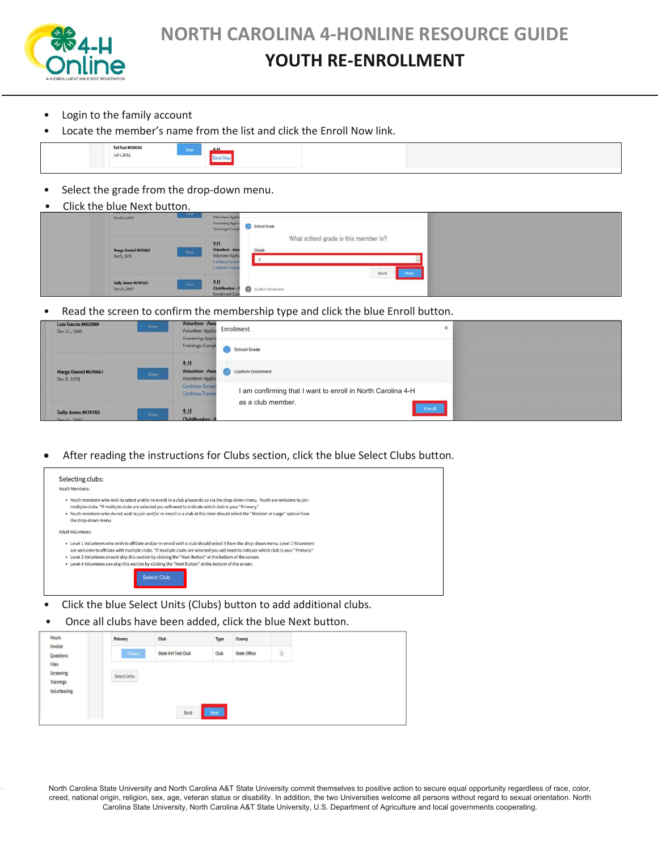

# **NORTH CAROLINA 4-HONLINE RESOURCE GUIDE**

### **YOUTH RE-ENROLLMENT**

- Login to the family account
- Locate the member's name from the list and click the Enroll Now link.

| Kid Test #638246     | A, M  |  |  |
|----------------------|-------|--|--|
| $\text{Jul}$ 4, 2011 |       |  |  |
|                      | _____ |  |  |

• Select the grade from the drop-down menu.

| $\bullet$ | Click the blue Next button.                 |                                                                                                                                   |  |
|-----------|---------------------------------------------|-----------------------------------------------------------------------------------------------------------------------------------|--|
|           | View<br>Dec 21, 1995                        | Volunteer Applic<br>Screening Appro<br>School Grade<br>Trainings Comp                                                             |  |
|           | Marge Daniel #670667<br>Wew.<br>Dec 5, 1976 | What school grade is this member in?<br>土土<br>Volunteer - Awa<br>Grade<br>Volunteer Applic<br>Continue Screen<br>Continue Transie |  |
|           | Sally Jones #670763<br>View<br>Dec 21, 2007 | Back<br>Next<br>4H<br>ClubMember-A<br>Contine Explorent<br><b>Enrollment Subs</b>                                                 |  |

Read the screen to confirm the membership type and click the blue Enroll button.

| Luis Garcia #662989<br>Dec 21, 1995 | View.       | <b>Volunteer-Awa</b><br>Volunteer Applic<br>Screening Appro | $\boldsymbol{\times}$<br>Enrollment                         |  |
|-------------------------------------|-------------|-------------------------------------------------------------|-------------------------------------------------------------|--|
|                                     |             | <b>Trainings Compl</b>                                      | School Grade                                                |  |
| Marge Daniel #670667<br>Dec 5, 1976 | <b>View</b> | $4-H$<br>Volunteer - Awa<br><b>Volunteer Applic</b>         | Confirm Enrollment                                          |  |
|                                     |             | <b>Continue Screen</b><br><b>Continue Trainis</b>           | I am confirming that I want to enroll in North Carolina 4-H |  |
| Sally Jones #670763<br>Dec 21, 2007 | <b>View</b> | $4-H$<br>ClubMember-A                                       | as a club member.<br>Enroll                                 |  |

**•** After reading the instructions for Clubs section, click the blue Select Clubs button.

| Selecting clubs:<br>Youth Members:                                                                                                                                                                                                                                                                                                                                                                                                                                                                                       |
|--------------------------------------------------------------------------------------------------------------------------------------------------------------------------------------------------------------------------------------------------------------------------------------------------------------------------------------------------------------------------------------------------------------------------------------------------------------------------------------------------------------------------|
| . Youth members who wish to select and/or re-enroll in a club please do so via the drop-down menu. Youth are welcome to join<br>multiple clubs. "If multiple clubs are selected you will need to indicate which club is your "Primary."<br>. Youth members who do not wish to join and/or re-enroll in a club at this time should select the "Member at Large" option from<br>the drop-down menu                                                                                                                         |
| <b>Adult Volunteers:</b>                                                                                                                                                                                                                                                                                                                                                                                                                                                                                                 |
| • Level 1 Volunteers who wish to affiliate and/or re-enroll with a club should select it from the drop-down menu. Level 1 Volunteers<br>are welcome to affiliate with multiple clubs. *If multiple clubs are selected you will need to indicate which club is your "Primary."<br>• Level 2 Volunteers should skip this section by clicking the "Next Button" at the bottom of the screen.<br>. Level 4 Volunteers can skip this section by clicking the "Next Button" at the bottom of the screen.<br><b>Select Club</b> |

- Click the blue Select Units (Clubs) button to add additional clubs.
- Once all clubs have been added, click the blue Next button.

| Hours<br>Invoice   | Primary      | Club                | <b>Type</b> | County       |   |
|--------------------|--------------|---------------------|-------------|--------------|---|
| Questions          | Primary      | State 4-H Test Club | Club        | State Office | û |
| Files<br>Screening |              |                     |             |              |   |
| Trainings          | Select Units |                     |             |              |   |
| Volunteering       |              |                     |             |              |   |
|                    |              | Back                | Next        |              |   |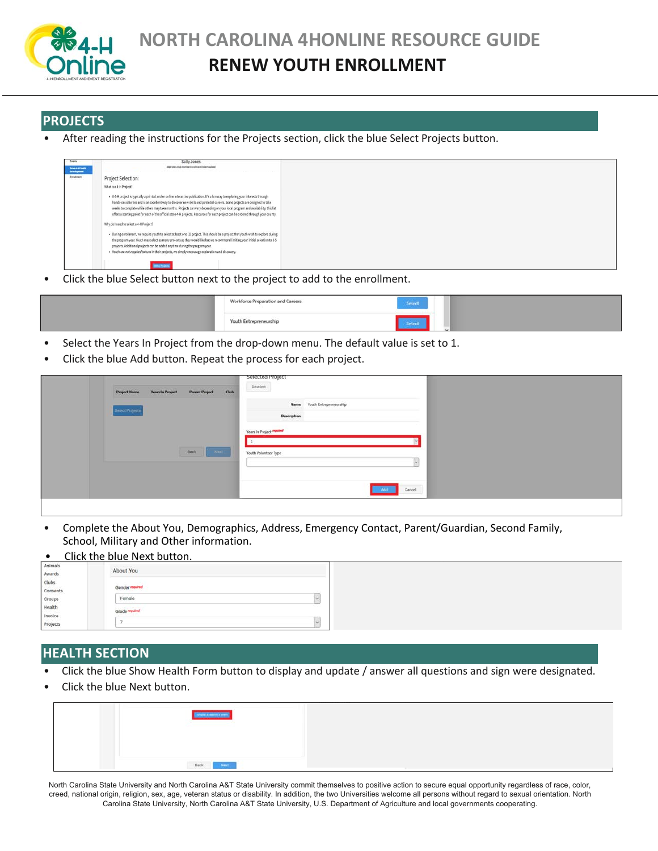

### **PROJECTS**

• After reading the instructions for the Projects section, click the blue Select Projects button.

| <b>Beach</b>                            | Sally Jones                                                                                                                                                                                                                                                                                                                                                                                                                                                                                                                              |
|-----------------------------------------|------------------------------------------------------------------------------------------------------------------------------------------------------------------------------------------------------------------------------------------------------------------------------------------------------------------------------------------------------------------------------------------------------------------------------------------------------------------------------------------------------------------------------------------|
| <b>SHARFROM</b><br><b>Interligencer</b> | 2020 USS Cut-Hamber Enrolment Insertsadient                                                                                                                                                                                                                                                                                                                                                                                                                                                                                              |
| Indeed                                  | Project Selection:                                                                                                                                                                                                                                                                                                                                                                                                                                                                                                                       |
|                                         | What is a 4-H Project?                                                                                                                                                                                                                                                                                                                                                                                                                                                                                                                   |
|                                         | + A 4-H project is typically a printed and or online interactive publication. It's a fun way to exploring your interests through<br>hands-on activities and is an excellent way to discover new skills and potential careers. Some projects are designed to take<br>weeks to complete while others may take months. Projects can vary depending on your local program and availability, this list<br>offers a starting point for each of the official state 4-H projects. Resources for each project can be ordered through your county. |
|                                         | Why do I need to select a 4-H Project?                                                                                                                                                                                                                                                                                                                                                                                                                                                                                                   |
|                                         | · During enrollment, we require youth to select at least one (1) project. This should be a project that youth wish to explore during<br>the program year. Youth may select as many projects as they would like but we recommend limiting your initial selection to 3-5<br>projects. Additional projects can be added anytime during the program year.<br>· Youth are not required to turn in their projects, we simply encourage exploration and discovery.                                                                              |

• Click the blue Select button next to the project to add to the enrollment.

|  | Workforce Preparation and Careers | <b>Selece</b> |  |
|--|-----------------------------------|---------------|--|
|  | Youth Entrepreneurship            |               |  |

- Select the Years In Project from the drop-down menu. The default value is set to 1.
- Click the blue Add button. Repeat the process for each project.

| <b>Years In Project</b><br>Parent Project Club<br><b>Project Name</b> | Selected Project<br>${\small \textbf{Deselect}}$ |
|-----------------------------------------------------------------------|--------------------------------------------------|
| Select Projects                                                       | Name Youth Entrepreneurship<br>Description       |
|                                                                       | Years In Project <b>maximal</b>                  |
| Back<br>N                                                             | Youth Volunteer Type                             |
|                                                                       | Cancel<br>Add                                    |
|                                                                       |                                                  |

• Complete the About You, Demographics, Address, Emergency Contact, Parent/Guardian, Second Family, School, Military and Other information.

#### **•** Click the blue Next button. About You **Awards** Clubs Consents Female E Groups Health Grade required nvoice  $\zeta$ 7

#### **HEALTH SECTION**

- Click the blue Show Health Form button to display and update / answer all questions and sign were designated.
- Click the blue Next button.

| and the company of the company of the company of the company of the company of the company of the company of the<br><b>STEP IN THE STATE OF STATE</b> |
|-------------------------------------------------------------------------------------------------------------------------------------------------------|
|                                                                                                                                                       |
| The contract of the contract of the con-<br>$_{\rm Bgck}$<br><b>TOHL</b>                                                                              |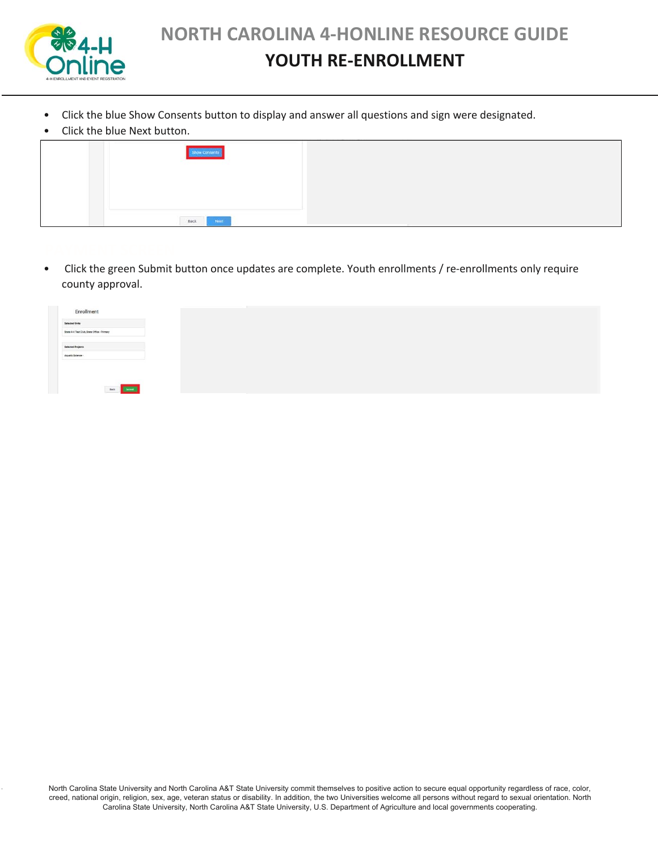

## **YOUTH RE-ENROLLMENT**

- Click the blue Show Consents button to display and answer all questions and sign were designated.
- Click the blue Next button.

| Chen the bide next battom. |  |
|----------------------------|--|
| <b>Ow Consent</b>          |  |
|                            |  |
|                            |  |
| Back<br>Nox1               |  |

• Click the green Submit button once updates are complete. Youth enrollments / re-enrollments only require county approval.

| Enrollment                                  |  |  |
|---------------------------------------------|--|--|
| Selected Units                              |  |  |
| State 4-H Test Club, State Office - Primary |  |  |
|                                             |  |  |
| Selected Projects<br>Aquatic Science        |  |  |
|                                             |  |  |
|                                             |  |  |
|                                             |  |  |
| <b>Back Channel</b><br>____                 |  |  |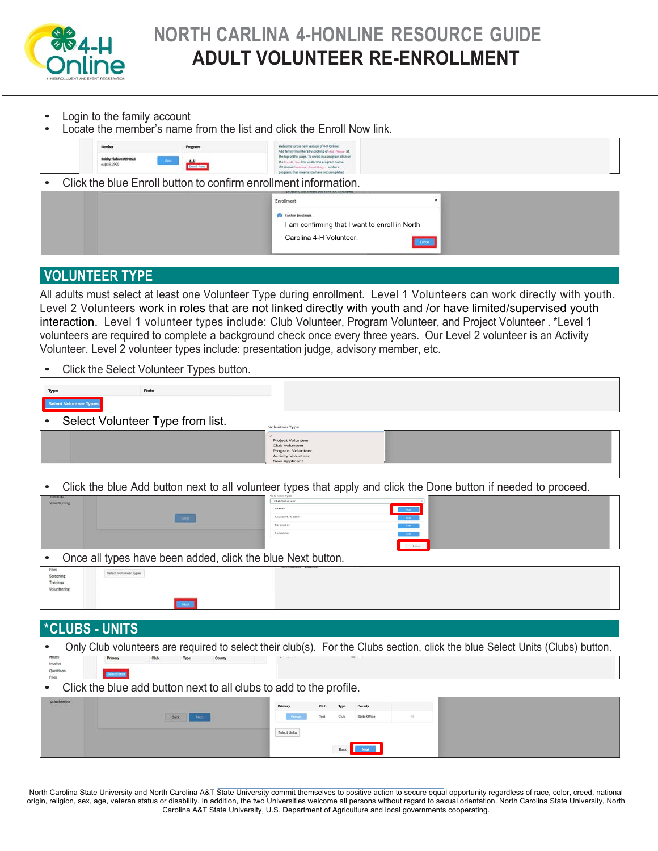

- Login to the family account
- Locate the member's name from the list and click the Enroll Now link.

| Member                                | Programs                     | Welcome to the new version of 4-H Online!<br>Add family members by clicking on Asir Neriser at                                                                                                 |  |
|---------------------------------------|------------------------------|------------------------------------------------------------------------------------------------------------------------------------------------------------------------------------------------|--|
| Bobby Flahive #394923<br>Aug 16, 2000 | <b>Contract</b><br>Enrol Now | the top of this page. To enroll in a program click on<br>the timel1 has link under the program name.<br>if it shows turninum directions  under a<br>program, that means you have not completed |  |
|                                       |                              | Click the blue Enroll button to confirm enrollment information.                                                                                                                                |  |

| <b>COMMON STATE RANGER FROM SAFETY SCIENCING</b><br><b>MVDP</b><br>Enrollment |  |
|-------------------------------------------------------------------------------|--|
| Confirm Enrolment<br>I am confirming that I want to enroll in North           |  |
| Carolina 4-H Volunteer.                                                       |  |

### **VOLUNTEER TYPE**

All adults must select at least one Volunteer Type during enrollment. Level 1 Volunteers can work directly with youth. Level 2 Volunteers work in roles that are not linked directly with youth and /or have limited/supervised youth interaction. Level 1 volunteer types include: Club Volunteer, Program Volunteer, and Project Volunteer . \*Level 1 volunteers are required to complete a background check once every three years. Our Level 2 volunteer is an Activity Volunteer. Level 2 volunteer types include: presentation judge, advisory member, etc.

Click the Select Volunteer Types button.

| Role<br>Type                                                                                                                  |
|-------------------------------------------------------------------------------------------------------------------------------|
| <b>Select Volunteer Types</b>                                                                                                 |
| Select Volunteer Type from list.<br><b>Volunteer Type</b>                                                                     |
| Project Volunteer<br>Club Volunteer<br>Program Volunteer<br><b>Activity Volunteer</b><br><b>New Applicant</b>                 |
| Click the blue Add button next to all volunteer types that apply and click the Done button if needed to proceed.              |
| Club Volunte<br>Volunteering<br>Leader<br><b>Add</b><br>Assistant / Coacl<br>Co-Leader<br>Add<br>Supporte<br>Add<br>Done      |
| Once all types have been added, click the blue Next button.                                                                   |
| Files<br>Select Volunteer Types<br>Screening<br>Trainings<br>Volunteering<br>Next :                                           |
|                                                                                                                               |
| <i><b>*CLUBS - UNITS</b></i>                                                                                                  |
| Only Club volunteers are required to select their club(s). For the Clubs section, click the blue Select Units (Clubs) button. |
| Club<br>Type<br>County<br>moura<br>Primary<br>Invoice<br>Questions<br><b><i><u>lect</u></i></b> Linits<br>Files               |
| Click the blue add button next to all clubs to add to the profile.                                                            |
| Volunteering<br>County<br>Primar<br>Chil<br>State Office<br>Back<br>Select Units                                              |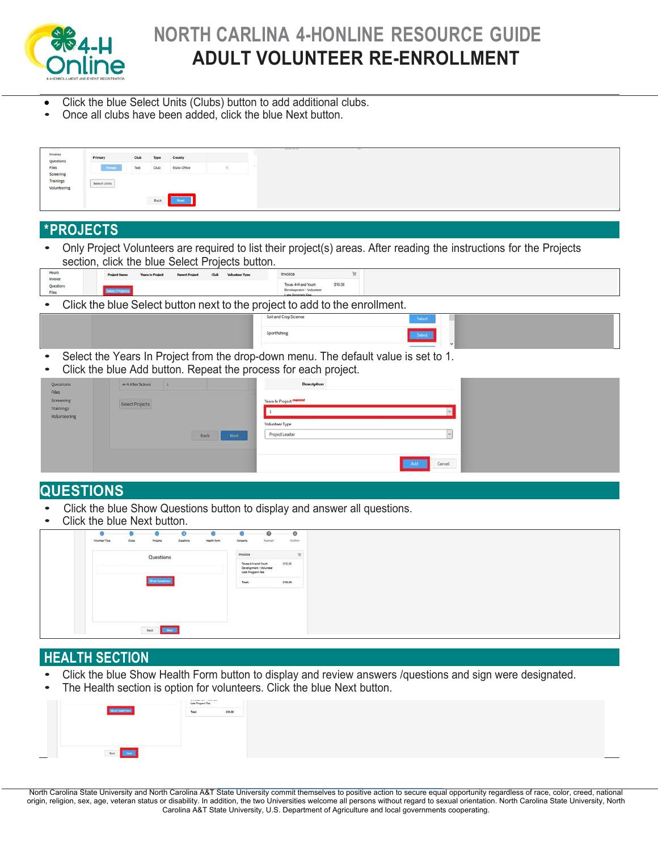

# **NORTH CARLINA 4-HONLINE RESOURCE GUIDE ADULT VOLUNTEER RE-ENROLLMENT**

- Click the blue Select Units (Clubs) button to add additional clubs.
- Once all clubs have been added, click the blue Next button.

| Invoice<br>Questions |                             |                  |      | County       |                                                 |                                                                                                                      |
|----------------------|-----------------------------|------------------|------|--------------|-------------------------------------------------|----------------------------------------------------------------------------------------------------------------------|
| Files<br>Screening   |                             |                  |      | State Office |                                                 |                                                                                                                      |
| Trainings            | <b>Select Units</b>         |                  |      |              |                                                 |                                                                                                                      |
| Volunteering         |                             |                  |      |              |                                                 |                                                                                                                      |
|                      |                             |                  | Back | Next         |                                                 |                                                                                                                      |
|                      |                             |                  |      |              |                                                 |                                                                                                                      |
|                      | <b>*PROJECTS</b>            |                  |      |              |                                                 |                                                                                                                      |
|                      |                             |                  |      |              |                                                 |                                                                                                                      |
|                      |                             |                  |      |              |                                                 | Only Project Volunteers are required to list their project(s) areas. After reading the instructions for the Projects |
|                      |                             |                  |      |              | section, click the blue Select Projects button. |                                                                                                                      |
| Hours<br>Invoice     |                             |                  |      |              |                                                 | 'n<br>Invoice                                                                                                        |
| Questions            |                             |                  |      |              |                                                 | \$10.00<br>Texas 4-H and Youth<br>Development - Volunteer                                                            |
|                      |                             |                  |      |              |                                                 | Late Program Fee                                                                                                     |
|                      |                             |                  |      |              |                                                 | Click the blue Select button next to the project to add to the enrollment.<br>Soil and Crop Science                  |
|                      |                             |                  |      |              |                                                 | Select.                                                                                                              |
|                      |                             |                  |      |              |                                                 | Sportfishing                                                                                                         |
|                      |                             |                  |      |              |                                                 |                                                                                                                      |
|                      |                             |                  |      |              |                                                 | Select the Years In Project from the drop-down menu. The default value is set to 1.                                  |
|                      |                             |                  |      |              |                                                 | Click the blue Add button. Repeat the process for each project.                                                      |
| Questions            |                             | 4-H After School |      |              |                                                 | Description                                                                                                          |
| Files.<br>Screening  |                             |                  |      |              |                                                 | Years In Project manner                                                                                              |
| Trainings            |                             | Select Projects  |      |              |                                                 |                                                                                                                      |
| Volunteering         |                             |                  |      |              |                                                 | Volunteer Type                                                                                                       |
|                      |                             |                  |      |              | Nest<br>Back                                    | Project Leader                                                                                                       |
|                      |                             |                  |      |              |                                                 |                                                                                                                      |
|                      |                             |                  |      |              |                                                 |                                                                                                                      |
|                      |                             |                  |      |              |                                                 | Cancel                                                                                                               |
|                      |                             |                  |      |              |                                                 |                                                                                                                      |
|                      | <b>QUESTIONS</b>            |                  |      |              |                                                 |                                                                                                                      |
|                      |                             |                  |      |              |                                                 | Click the blue Show Questions button to display and answer all questions.                                            |
|                      | Click the blue Next button. |                  |      |              |                                                 |                                                                                                                      |
|                      |                             |                  |      |              |                                                 |                                                                                                                      |

|                |             |                     |                 |             |                  | ഒ                                             | $^{\circ}$ |   |
|----------------|-------------|---------------------|-----------------|-------------|------------------|-----------------------------------------------|------------|---|
| Volunteer Type | <b>Dube</b> | Projecto            | <b>Quarters</b> | Haatti Parm | Consenta         | Payment.                                      | Dates      |   |
|                |             | Questions           |                 |             | Invoice          |                                               |            | w |
|                |             |                     |                 |             | Late Program Fee | Texas 4H and Youth<br>Development - Volunteer | \$10.00    |   |
|                |             | tem Company         |                 |             | Total:           |                                               | \$10.00    |   |
|                |             |                     |                 |             |                  |                                               |            |   |
|                |             |                     |                 |             |                  |                                               |            |   |
|                |             |                     |                 |             |                  |                                               |            |   |
|                |             | <b>Box 19 Lines</b> |                 |             |                  |                                               |            |   |

### **HEALTH SECTION**

- Click the blue Show Health Form button to display and review answers /questions and sign were designated.<br>• The Health section is option for volunteers. Click the blue Next button.
- The Health section is option for volunteers. Click the blue Next button.

|                        | Late Program Fee |         |
|------------------------|------------------|---------|
| <b>Diam Teach Form</b> | Total            | \$10.00 |
|                        |                  |         |
|                        |                  |         |
|                        |                  |         |
|                        |                  |         |
| Back<br><b>Corp</b>    |                  |         |

North Carolina State University and North Carolina A&T State University commit themselves to positive action to secure equal opportunity regardless of race, color, creed, national<br>origin, religion, sex, age, veteran status Carolina A&T State University, U.S. Department of Agriculture and local governments cooperating.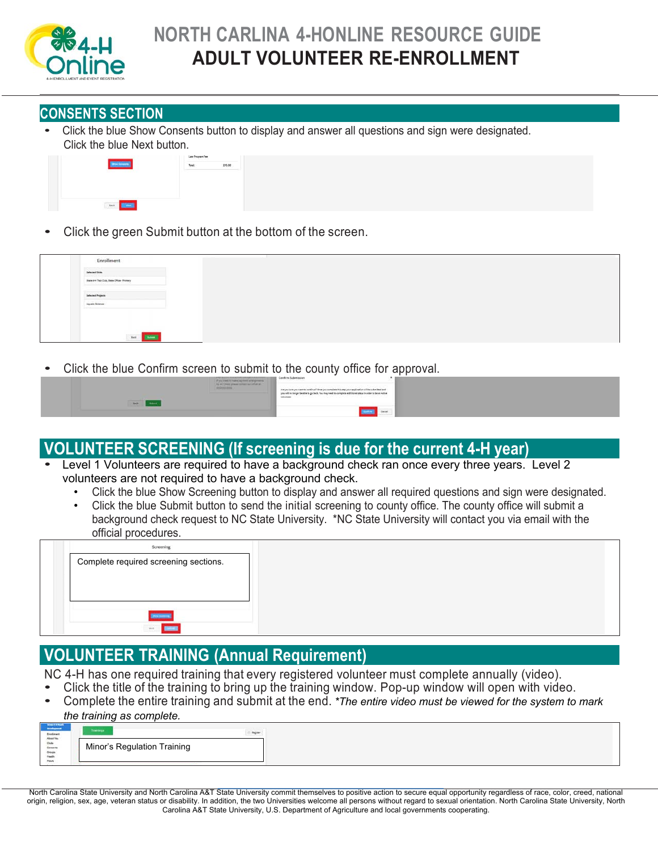

# **NORTH CARLINA 4-HONLINE RESOURCE GUIDE ADULT VOLUNTEER RE-ENROLLMENT**

### **CONSENTS SECTION**

• Click the blue Show Consents button to display and answer all questions and sign were designated. Click the blue Next button.



Click the green Submit button at the bottom of the screen.

| Enrollment                                                                                    |  |  |
|-----------------------------------------------------------------------------------------------|--|--|
| Selected Sivila                                                                               |  |  |
| State & H Test Duit, State DRise - Fromary                                                    |  |  |
| Selected Projects<br>the property of the property of the<br>and the control of the control of |  |  |
| Again Science<br>-----                                                                        |  |  |
|                                                                                               |  |  |
|                                                                                               |  |  |
| <b>Service States</b>                                                                         |  |  |

• Click the blue Confirm screen to submit to the county office for approval.

| $\lambda_2$ the Closen phase further may obtain as $\label{eq:lambda2} 22542333332$<br>____<br><b>Class Contract</b><br><b><i>Britain College College College</i></b> | schmitted and<br>Arm you<br>res be an Active<br>Valuntaer.<br>Cancer |
|-----------------------------------------------------------------------------------------------------------------------------------------------------------------------|----------------------------------------------------------------------|
|-----------------------------------------------------------------------------------------------------------------------------------------------------------------------|----------------------------------------------------------------------|

# VOLUNTEER SCREENING (If screening is due for the current 4-H year)<br>• Level 1 Volunteers are required to have a background check ran once every three years. Level 2

- volunteers are not required to have a background check.
	- Click the blue Show Screening button to display and answer all required questions and sign were designated.
	- Click the blue Submit button to send the initial screening to county office. The county office will submit a background check request to NC State University. \*NC State University will contact you via email with the official procedures.

| Screening                             |  |
|---------------------------------------|--|
| Complete required screening sections. |  |
|                                       |  |
|                                       |  |
|                                       |  |
|                                       |  |
| ine.                                  |  |

### **VOLUNTEER TRAINING (Annual Requirement)**

NC 4-H has one required training that every registered volunteer must complete annually (video).

- Click the title of the training to bring up the training window. Pop-up window will open with video.
- Complete the entire training and submit at the end. *\*The entire video must be viewed for the system to mark*

### *the training as complete.*

| Minor's Regulation Training |  |
|-----------------------------|--|
|                             |  |
|                             |  |